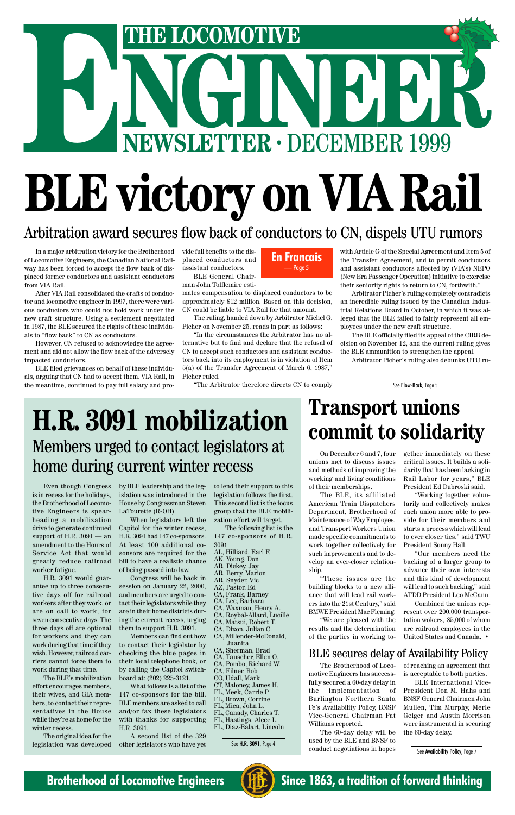# **NGINEER BLE victory on VIA Rail THE LOCOMOTIVE**<br> **ENEWSLETTER · DECEMBER 1999**

In a major arbitration victory for the Brotherhood of Locomotive Engineers, the Canadian National Railway has been forced to accept the flow back of displaced former conductors and assistant conductors from VIA Rail.

After VIA Rail consolidated the crafts of conductor and locomotive engineer in 1997, there were various conductors who could not hold work under the new craft structure. Using a settlement negotiated in 1987, the BLE secured the rights of these individuals to "flow back" to CN as conductors.

However, CN refused to acknowledge the agreement and did not allow the flow back of the adversely impacted conductors.

BLE filed grievances on behalf of these individuals, arguing that CN had to accept them. VIA Rail, in the meantime, continued to pay full salary and provide full benefits to the displaced conductors and assistant conductors.

BLE General Chairman John Tofflemire esti-

mates compensation to displaced conductors to be approximately \$12 million. Based on this decision, CN could be liable to VIA Rail for that amount.

The ruling, handed down by Arbitrator Michel G. Picher on November 25, reads in part as follows:

"In the circumstances the Arbitrator has no alternative but to find and declare that the refusal of CN to accept such conductors and assistant conductors back into its employment is in violation of Item 5(a) of the Transfer Agreement of March 6, 1987," Picher ruled.

"The Arbitrator therefore directs CN to comply

#### with Article G of the Special Agreement and Item 5 of the Transfer Agreement, and to permit conductors and assistant conductors affected by (VIA's) NEPO (New Era Passenger Operation) initiative to exercise their seniority rights to return to CN, forthwith."

Arbitrator Picher's ruling completely contradicts an incredible ruling issued by the Canadian Industrial Relations Board in October, in which it was alleged that the BLE failed to fairly represent all employees under the new craft structure.

The BLE officially filed its appeal of the CIRB decision on November 12, and the current ruling gives the BLE ammunition to strengthen the appeal.

Arbitrator Picher's ruling also debunks UTU ru-

#### Arbitration award secures flow back of conductors to CN, dispels UTU rumors

**En Francais** — Page 5

See Flow-Back, Page 5

### **H.R. 3091 mobilization** Members urged to contact legislators at home during current winter recess

Even though Congress is in recess for the holidays, the Brotherhood of Locomotive Engineers is spearheading a mobilization drive to generate continued support of H.R.  $3091 - an$ amendment to the Hours of Service Act that would greatly reduce railroad worker fatigue.

H.R. 3091 would guarantee up to three consecutive days off for railroad

workers after they work, or are on call to work, for seven consecutive days. The three days off are optional for workers and they can work during that time if they wish. However, railroad carriers cannot force them to work during that time.

The BLE's mobilization effort encourages members, their wives, and GIA members, to contact their representatives in the House while they're at home for the winter recess.

The original idea for the legislation was developed by BLE leadership and the legislation was introduced in the House by Congressman Steven LaTourette (R-OH).

When legislators left the Capitol for the winter recess, H.R. 3091 had 147 co-sponsors. At least 100 additional cosonsors are required for the bill to have a realistic chance of being passed into law.

Congress will be back in session on January 22, 2000, and members are urged to contact their legislators while they are in their home districts during the current recess, urging them to support H.R. 3091.

Members can find out how to contact their legislator by checking the blue pages in their local telephone book, or by calling the Capitol switchboard at: (202) 225-3121.

What follows is a list of the 147 co-sponsors for the bill. BLE members are asked to call and/or fax these legislators with thanks for supporting H.R. 3091.

A second list of the 329 other legislators who have yet to lend their support to this legislation follows the first. This second list is the focus group that the BLE mobilization effort will target.

The following list is the 147 co-sponsors of H.R. 3091:

- AL, Hilliard, Earl F.
- AK, Young, Don
- AR, Dickey, Jay AR, Berry, Marion
- AR, Snyder, Vic
- AZ, Pastor, Ed
- CA, Frank, Barney

CA, Lee, Barbara CA, Waxman, Henry A. CA, Roybal-Allard, Lucille CA, Matsui, Robert T. CA, Dixon, Julian C. CA, Millender-McDonald, Juanita CA, Sherman, Brad CA, Tauscher, Ellen O. CA, Pombo, Richard W. CA, Filner, Bob CO, Udall, Mark CT, Maloney, James H. FL, Meek, Carrie P FL, Brown, Corrine FL, Mica, John L. FL, Canady, Charles T. FL, Hastings, Alcee L. FL, Diaz-Balart, Lincoln

See H.R. 3091, Page 4

### **Transport unions commit to solidarity**

On December 6 and 7, four unions met to discuss issues and methods of improving the working and living conditions of their memberships.

The BLE, its affiliated American Train Dispatchers Department, Brotherhood of Maintenance of Way Employes, and Transport Workers Union made specific commitments to work together collectively for such improvements and to develop an ever-closer relationship.

"These issues are the building blocks to a new alliance that will lead rail workers into the 21st Century," said BMWE President Mac Fleming. "We are pleased with the results and the determination of the parties in working to-

gether immediately on these critical issues. It builds a solidarity that has been lacking in Rail Labor for years," BLE President Ed Dubroski said.

"Working together voluntarily and collectively makes each union more able to provide for their members and starts a process which will lead to ever closer ties," said TWU President Sonny Hall.

"Our members need the backing of a larger group to advance their own interests and this kind of development will lead to such backing," said ATDD President Leo McCann.

Combined the unions represent over 200,000 transportation wokers, 85,000 of whom are railroad employees in the United States and Canada. •

The Brotherhood of Locomotive Engineers has successfully secured a 60-day delay in the implementation of Burlington Northern Santa Fe's Availability Policy, BNSF Vice-General Chairman Pat Williams reported.

The 60-day delay will be used by the BLE and BNSF to conduct negotiations in hopes

#### BLE secures delay of Availability Policy

of reaching an agreement that is acceptable to both parties.

BLE International Vice-President Don M. Hahs and BNSF General Chairmen John Mullen, Tim Murphy, Merle Geiger and Austin Morrison were instrumental in securing the 60-day delay.

See Availability Policy, Page 7



**Brotherhood of Locomotive Engineers (HE)** Since 1863, a tradition of forward thinking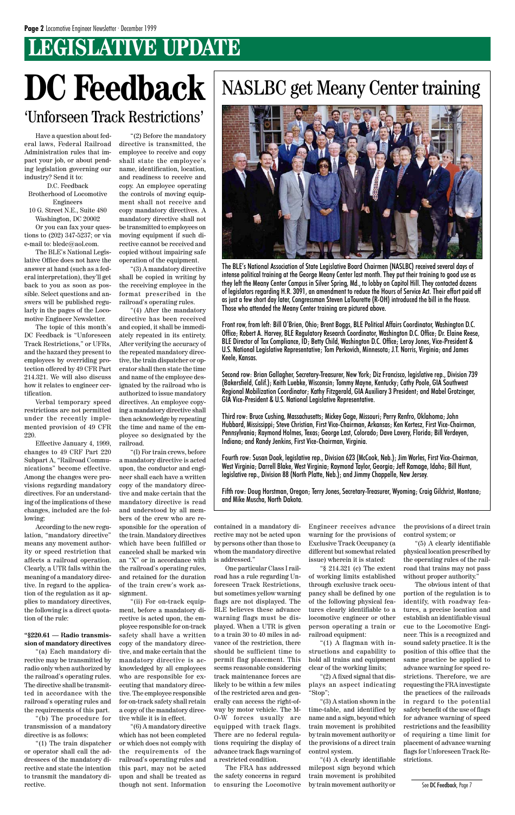### **LEGISLATIVE UPDATE**

The BLE's National Association of State Legislative Board Chairmen (NASLBC) received several days of intense political training at the George Meany Center last month. They put their training to good use as they left the Meany Center Campus in Silver Spring, Md., to lobby on Capitol Hill. They contacted dozens of legislators regarding H.R. 3091, an amendment to reduce the Hours of Service Act. Their effort paid off as just a few short day later, Congressman Steven LaTourette (R-OH) introduced the bill in the House. Those who attended the Meany Center training are pictured above.

Front row, from left: Bill O'Brien, Ohio; Brent Boggs, BLE Political Affairs Coordinator, Washington D.C. Office; Robert A. Harvey, BLE Regulatory Research Coordinator, Washington D.C. Office; Dr. Elaine Reese, BLE Director of Tax Compliance, ID; Betty Child, Washington D.C. Office; Leroy Jones, Vice-President & U.S. National Legislative Representative; Tom Perkovich, Minnesota; J.T. Norris, Virginia; and James Keele, Kansas.

Second row: Brian Gallagher, Secretary-Treasurer, New York; Diz Francisco, legislative rep., Division 739 (Bakersfield, Calif.); Keith Luebke, Wisconsin; Tommy Mayne, Kentucky; Cathy Poole, GIA Southwest Regional Mobilization Coordinator; Kathy Fitzgerald, GIA Auxiliary 3 President; and Mabel Grotzinger, GIA Vice-President & U.S. National Legislative Representative.

Third row: Bruce Cushing, Massachusetts; Mickey Gage, Missouri; Perry Renfro, Oklahoma; John Hubbard, Mississippi; Steve Christian, First Vice-Chairman, Arkansas; Ken Kertesz, First Vice-Chairman, Pennsylvania; Raymond Holmes, Texas; George Last, Colorado; Dave Lavery, Florida; Bill Verdeyen, Indiana; and Randy Jenkins, First Vice-Chairman, Virginia.

Fourth row: Susan Doak, legislative rep., Division 623 (McCook, Neb.); Jim Worles, First Vice-Chairman, West Virginia; Darrell Blake, West Virginia; Raymond Taylor, Georgia; Jeff Ramage, Idaho; Bill Hunt, legislative rep., Division 88 (North Platte, Neb.); and Jimmy Chappelle, New Jersey.

Fifth row: Doug Horstman, Oregon; Terry Jones, Secretary-Treasurer, Wyoming; Craig Gilchrist, Montana; and Mike Muscha, North Dakota.

### NASLBC get Meany Center training



Have a question about federal laws, Federal Railroad Administration rules that impact your job, or about pending legislation governing our industry? Send it to:

D.C. Feedback Brotherhood of Locomotive Engineers 10 G. Street N.E., Suite 480 Washington, DC 20002

Or you can fax your questions to (202) 347-5237; or via e-mail to: bledc@aol.com.

The BLE's National Legislative Office does not have the answer at hand (such as a federal interpretation), they'll get back to you as soon as possible. Select questions and answers will be published regularly in the pages of the Locomotive Engineer Newsletter.

The topic of this month's DC Feedback is "Unforeseen Track Restrictions," or UFRs, and the hazard they present to employees by overriding protection offered by 49 CFR Part 214.321. We will also discuss how it relates to engineer certification.

Verbal temporary speed restrictions are not permitted under the recently implemented provision of 49 CFR 220.

Effective January 4, 1999, changes to 49 CRF Part 220 Subpart A, "Railroad Communications" become effective. Among the changes were provisions regarding mandatory directives. For an understanding of the implications of these changes, included are the following:

According to the new regulation, "mandatory directive" means any movement authority or speed restriction that affects a railroad operation. Clearly, a UTR falls within the meaning of a mandatory directive. In regard to the application of the regulation as it ap-

plies to mandatory directives, the following is a direct quotation of the rule:

#### **"§220.61 — Radio transmission of mandatory directives**

"(a) Each mandatory directive may be transmitted by radio only when authorized by the railroad's operating rules. The directive shall be transmitted in accordance with the railroad's operating rules and the requirements of this part.

"(b) The procedure for transmission of a mandatory directive is as follows:

"(1) The train dispatcher or operator shall call the addressees of the mandatory directive and state the intention to transmit the mandatory directive.

"(2) Before the mandatory directive is transmitted, the employee to receive and copy shall state the employee's name, identification, location, and readiness to receive and copy. An employee operating the controls of moving equipment shall not receive and copy mandatory directives. A mandatory directive shall not be transmitted to employees on moving equipment if such directive cannot be received and copied without impairing safe operation of the equipment.

"(3) A mandatory directive shall be copied in writing by the receiving employee in the format prescribed in the railroad's operating rules.

"(4) After the mandatory directive has been received and copied, it shall be immediately repeated in its entirety. After verifying the accuracy of the repeated mandatory directive, the train dispatcher or operator shall then state the time and name of the employee designated by the railroad who is authorized to issue mandatory directives. An employee copying a mandatory directive shall then acknowledge by repeating the time and name of the employee so designated by the railroad.

"(I) For train crews, before a mandatory directive is acted upon, the conductor and engineer shall each have a written copy of the mandatory directive and make certain that the mandatory directive is read and understood by all members of the crew who are responsible for the operation of the train. Mandatory directives which have been fulfilled or canceled shall be marked win an "X" or in accordance with the railroad's operating rules, and retained for the duration of the train crew's work assignment. "(ii) For on-track equipment, before a mandatory directive is acted upon, the employee responsible for on-track safety shall have a written copy of the mandatory directive, and make certain that the mandatory directive is acknowledged by all employees who are responsible for executing that mandatory directive. The employee responsible for on-track safety shall retain a copy of the mandatory directive while it is in effect. "(6) A mandatory directive which has not been completed or which does not comply with the requirements of the railroad's operating rules and this part, may not be acted upon and shall be treated as though not sent. Information

contained in a mandatory directive may not be acted upon by persons other than those to whom the mandatory directive is addressed."

One particular Class I railroad has a rule regarding Unforeseen Track Restrictions, but sometimes yellow warning flags are not displayed. The BLE believes these advance warning flags must be displayed. When a UTR is given to a train 30 to 40 miles in advance of the restriction, there should be sufficient time to permit flag placement. This seems reasonable considering track maintenance forces are likely to be within a few miles of the restricted area and generally can access the right-ofway by motor vehicle. The M-O-W forces usually are equipped with track flags. There are no federal regulations requiring the display of advance track flags warning of a restricted condition. The FRA has addressed the safety concerns in regard to ensuring the Locomotive

Engineer receives advance warning for the provisions of Exclusive Track Occupancy (a different but somewhat related issue) wherein it is stated:

"§ 214.321 (c) The extent of working limits established through exclusive track occupancy shall be defined by one of the following physical features clearly identifiable to a locomotive engineer or other person operating a train or railroad equipment: "(1) A flagman with instructions and capability to hold all trains and equipment clear of the working limits;

"(2) A fixed signal that displays an aspect indicating "Stop";

"(3) A station shown in the time-table, and identified by name and a sign, beyond which train movement is prohibited by train movement authority or the provisions of a direct train control system.

"(4) A clearly identifiable milepost sign beyond which train movement is prohibited by train movement authority or

the provisions of a direct train control system; or

"(5) A clearly identifiable physical location prescribed by the operating rules of the railroad that trains may not pass without proper authority."

The obvious intent of that portion of the regulation is to identify, with roadway features, a precise location and establish an identifiable visual cue to the Locomotive Engineer. This is a recognized and sound safety practice. It is the position of this office that the same practice be applied to advance warning for speed restrictions. Therefore, we are requesting the FRA investigate the practices of the railroads in regard to the potential safety benefit of the use of flags for advance warning of speed restrictions and the feasibility of requiring a time limit for placement of advance warning flags for Unforeseen Track Restrictions.

### **DC Feedback** 'Unforseen Track Restrictions'

#### See DC Feedback, Page 7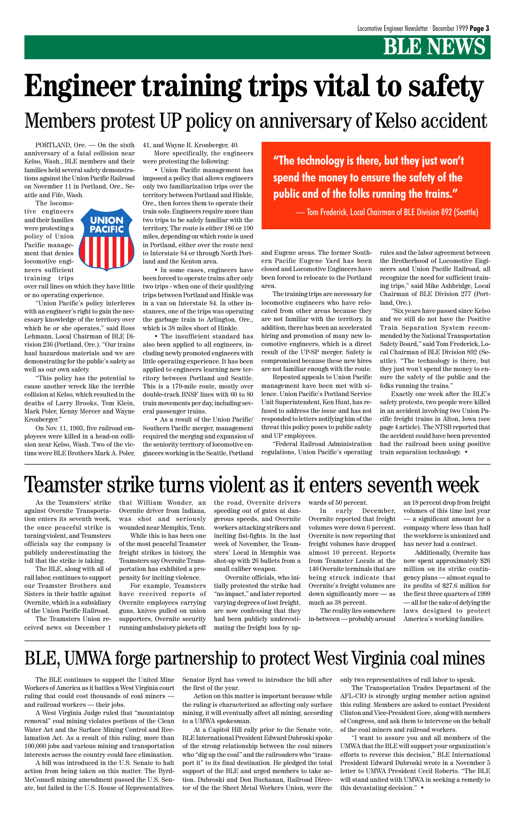### **B** NEWS

PORTLAND, Ore. — On the sixth anniversary of a fatal collision near Kelso, Wash., BLE members and their families held several safety demonstrations against the Union Pacific Railroad on November 11 in Portland, Ore., Seattle and Fife, Wash.

The locomotive engineers and their families were protesting a policy of Union Pacific management that denies locomotive engineers sufficient training trips



over rail lines on which they have little or no operating experience.

"Union Pacific's policy interferes with an engineer's right to gain the necessary knowledge of the territory over which he or she operates," said Ross Lehmann, Local Chairman of BLE Division 236 (Portland, Ore.). "Our trains haul hazardous materials and we are demonstrating for the public's safety as well as our own safety.

"This policy has the potential to cause another wreck like the terrible collision at Kelso, which resulted in the deaths of Larry Brooks, Tom Klein, Mark Poler, Kenny Mercer and Wayne Kronberger."

On Nov. 11, 1993, five railroad employees were killed in a head-on collision near Kelso, Wash. Two of the victims were BLE Brothers Mark A. Poler,

41, and Wayne R. Kronberger, 40. More specifically, the engineers

were protesting the following:

• Union Pacific management has imposed a policy that allows engineers only two familiarization trips over the territory between Portland and Hinkle, Ore., then forces them to operate their train solo. Engineers require more than two trips to be safely familiar with the territory. The route is either 186 or 190 miles, depending on which route is used in Portland, either over the route next to Interstate 84 or through North Portland and the Kenton area.

• In some cases, engineers have been forced to operate trains after only two trips - when one of their qualifying trips between Portland and Hinkle was in a van on Interstate 84. In other instances, one of the trips was operating the garbage train to Arlington, Ore., which is 38 miles short of Hinkle.

• The insufficient standard has also been applied to all engineers, including newly promoted engineers with little operating experience. It has been applied to engineers learning new territory between Portland and Seattle. This is a 179-mile route, mostly over double-track BNSF lines with 60 to 80 train movements per day, including several passenger trains.

• As a result of the Union Pacific/ Southern Pacific merger, management required the merging and expansion of the seniority territory of locomotive engineers working in the Seattle, Portland and Eugene areas. The former Southern Pacific Eugene Yard has been closed and Locomotive Engineers have been forced to relocate to the Portland area.

The training trips are necessary for locomotive engineers who have relocated from other areas because they are not familiar with the territory. In addition, there has been an accelerated hiring and promotion of many new locomotive engineers, which is a direct result of the UP-SP merger. Safety is compromised because these new hires are not familiar enough with the route.

Repeated appeals to Union Pacific management have been met with silence. Union Pacific's Portland Service Unit Superintendent, Ken Hunt, has refused to address the issue and has not responded to letters notifying him of the threat this policy poses to public safety and UP employees.

"Federal Railroad Administration regulations, Union Pacific's operating rules and the labor agreement between the Brotherhood of Locomotive Engineers and Union Pacific Railroad, all recognize the need for sufficient training trips," said Mike Ashbridge, Local Chairman of BLE Division 277 (Portland, Ore.).

"Six years have passed since Kelso and we still do not have the Positive Train Separation System recommended by the National Transportation Safety Board," said Tom Frederick, Local Chairman of BLE Division 892 (Seattle). "The technology is there, but they just won't spend the money to ensure the safety of the public and the folks running the trains."

Exactly one week after the BLE's safety protests, two people were killed in an accident involving two Union Pacific freight trains in Alton, Iowa (see page 4 article). The NTSB reported that the accident could have been prevented had the railroad been using positive train separation technology. •

**"The technology is there, but they just won't spend the money to ensure the safety of the public and of the folks running the trains."**

— Tom Frederick, Local Chairman of BLE Division 892 (Seattle)

# **Engineer training trips vital to safety** Members protest UP policy on anniversary of Kelso accident

As the Teamsters' strike against Overnite Transportation enters its seventh week, the once peaceful strike is turning violent, and Teamsters officials say the company is publicly underestimating the toll that the strike is taking.

The BLE, along with all of rail labor, continues to support our Teamster Brothers and Sisters in their battle against Overnite, which is a subsidiary of the Union Pacific Railroad. The Teamsters Union re-

ceived news on December 1

that William Wonder, an Overnite driver from Indiana, was shot and seriously wounded near Memphis, Tenn.

While this is has been one of the most peaceful Teamster freight strikes in history, the Teamsters say Overnite Transportation has exhibited a propensity for inciting violence.

For example, Teamsters have received reports of Overnite employees carrying guns, knives pulled on union supporters, Overnite security running ambulatory pickets off

### Teamster strike turns violent as it enters seventh week

the road, Overnite drivers speeding out of gates at dangerous speeds, and Overnite workers attacking strikers and inciting fist-fights. In the last week of November, the Teamsters' Local in Memphis was shot-up with 26 bullets from a small caliber weapon.

Overnite officials, who initially protested the strike had "no impact," and later reported varying degrees of lost freight, are now confessing that they had been publicly underestimating the freight loss by upwards of 50 percent.

In early December, Overnite reported that freight volumes were down 6 percent. Overnite is now reporting that freight volumes have dropped almost 10 percent. Reports from Teamster Locals at the 140 Overnite terminals that are being struck indicate that Overnite's freight volumes are down significantly more — as

much as 38 percent.

The reality lies somewhere in-between — probably around

an 18 percent drop from freight volumes of this time last year — a significant amount for a company where less than half the workforce is unionized and has never had a contract.

Additionally, Overnite has now spent approximately \$26 million on its strike contingency plans — almost equal to its profits of \$27.6 million for the first three quarters of 1999

— all for the sake of defying the laws designed to protect America's working families.

The BLE continues to support the United Mine Workers of America as it battles a West Virginia court ruling that could cost thousands of coal miners and railroad workers — their jobs.

A West Virginia Judge ruled that "mountaintop removal" coal mining violates portions of the Clean Water Act and the Surface Mining Control and Reclamation Act. As a result of this ruling, more than 100,000 jobs and various mining and transportation interests across the country could face elimination.

A bill was introduced in the U.S. Senate to halt action from being taken on this matter. The Byrd-McConnell mining amendment passed the U.S. Senate, but failed in the U.S. House of Representatives.

Senator Byrd has vowed to introduce the bill after the first of the year.

Action on this matter is important because while the ruling is characterized as affecting only surface mining, it will eventually affect all mining, according to a UMWA spokesman.

At a Capitol Hill rally prior to the Senate vote, BLE International President Edward Dubroski spoke of the strong relationship between the coal miners who "dig up the coal" and the railroaders who "transport it" to its final destination. He pledged the total support of the BLE and urged members to take action. Dubroski and Don Buchanan, Railroad Director of the the Sheet Metal Workers Union, were the only two representatives of rail labor to speak.

The Transportation Trades Department of the AFL-CIO is strongly urging member action against this ruling. Members are asked to contact President Clinton and Vice-President Gore, along with members of Congress, and ask them to intervene on the behalf of the coal miners and railroad workers.

"I want to assure you and all members of the UMWA that the BLE will support your organization's efforts to reverse this decision," BLE International President Edward Dubroski wrote in a November 5 letter to UMWA President Cecil Roberts. "The BLE will stand united with UMWA in seeking a remedy to this devastating decision." •

### BLE, UMWA forge partnership to protect West Virginia coal mines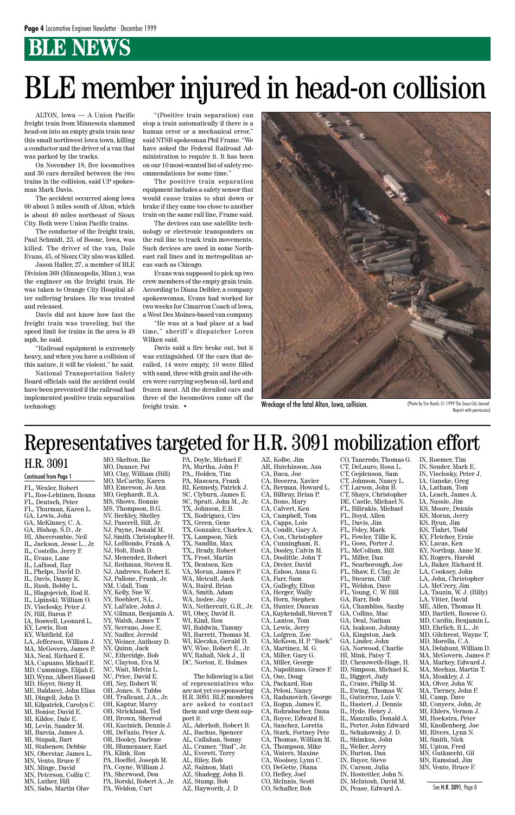### **BLE NEWS**

ALTON, Iowa — A Union Pacific freight train from Minnesota slammed head-on into an empty grain train near this small northwest Iowa town, killing a conductor and the driver of a van that was parked by the tracks.

On November 18, five locomotives and 30 cars derailed between the two trains in the collision, said UP spokesman Mark Davis.

The accident occurred along Iowa 60 about 5 miles south of Alton, which is about 40 miles northeast of Sioux City. Both were Union Pacific trains.

The conductor of the freight train, Paul Schmidt, 23, of Boone, Iowa, was killed. The driver of the van, Dale Evans, 45, of Sioux City also was killed.

Jason Haller, 27, a member of BLE Division 369 (Minneapolis, Minn.), was the engineer on the freight train. He was taken to Orange City Hospital after suffering bruises. He was treated and released.

Davis did not know how fast the freight train was traveling, but the speed limit for trains in the area is 49 mph, he said.

"Railroad equipment is extremely heavy, and when you have a collision of this nature, it will be violent," he said.

National Transportation Safety Board officials said the accident could have been prevented if the railroad had implemented positive train separation technology.

"(Positive train separation) can stop a train automatically if there is a human error or a mechanical error," said NTSB spokesman Phil Frame. "We have asked the Federal Railroad Administration to require it. It has been on our 10 most-wanted list of safety recommendations for some time."

The positive train separation equipment includes a safety sensor that would cause trains to shut down or brake if they came too close to another train on the same rail line, Frame said.

The devices can use satellite technology or electronic transponders on the rail line to track train movements. Such devices are used in some Northeast rail lines and in metropolitan areas such as Chicago.

Evans was supposed to pick up two crew members of the empty grain train. According to Diana Deibler, a company spokeswoman, Evans had worked for two weeks for Cimarron Coach of Iowa, a West Des Moines-based van company.

"He was at a bad place at a bad time," sheriff's dispatcher Loren Wilken said.

Davis said a fire broke out, but it was extinguished. Of the cars that derailed, 14 were empty, 10 were filled with sand, three with grain and the others were carrying soybean oil, lard and frozen meat. All the derailed cars and three of the locomotives came off the freight train. •



Wreckage of the fatal Alton, Iowa, collision. (Photo by Tim Hynds C 1999 The Sioux City Journal.

# BLE member injured in head-on collision

Reprint with permission)

FL, Wexler, Robert FL, Ros-Lehtinen, Ileana FL, Deutsch, Peter FL, Thurman, Karen L. GA, Lewis, John GA, McKinney, C. A. GA, Bishop, S.D., Jr. HI, Abercrombie, Neil IL, Jackson, Jesse L., Jr. IL, Costello, Jerry F. IL, Evans, Lane IL, LaHood, Ray IL, Phelps, David D. IL, Davis, Danny K. IL, Rush, Bobby L. IL, Blagojevich, Rod R. IL, Lipinski, William O. IN, Visclosky, Peter J. IN, Hill, Baron P. IA, Boswell, Leonard L. KY, Lewis, Ron KY, Whitfield, Ed LA, Jefferson, William J. MA, McGovern, James P. MA, Neal, Richard E. MA, Capuano, Michael E. MD, Cummings, Elijah E. MD, Wynn, Albert Russell MD, Hoyer, Steny H. ME, Baldacci, John Elias MI, Dingell, John D. MI, Kilpatrick, Carolyn C. MI, Bonior, David E. MI, Kildee, Dale E. MI, Levin, Sander M. MI, Barcia, James A. MI, Stupak, Bart MI, Stabenow, Debbie MN, Oberstar, James L. MN, Vento, Bruce F. MN, Minge, David MN, Peterson, Collin C. MN, Luther, Bill MN, Sabo, Martin Olav

MO, Skelton, Ike MO, Danner, Pat MO, Clay, William (Bill) MO, McCarthy, Karen MO, Emerson, Jo Ann MO, Gephardt, R.A. MS, Shows, Ronnie MS, Thompson, B.G. NV, Berkley, Shelley NJ, Pascrell, Bill, Jr. NJ, Payne, Donald M. NJ, Smith, Christopher H. NJ, LoBiondo, Frank A. NJ, Holt, Rush D. NJ, Menendez, Robert NJ, Rothman, Steven R. NJ, Andrews, Robert E. NJ, Pallone, Frank, Jr. NM, Udall, Tom NY, Kelly, Sue W. NY, Boehlert, S.L. NY, LaFalce, John J. NY, Gilman, Benjamin A. NY, Walsh, James T. NY, Serrano, Jose E. NY, Nadler, Jerrold NY, Weiner, Anthony D. NY, Quinn, Jack NC, Etheridge, Bob NC, Clayton, Eva M. NC, Watt, Melvin L. NC, Price, David E. OH, Ney, Robert W. OH, Jones, S. Tubbs OH, Traficant, J.A., Jr. OH, Kaptur, Marcy OH, Strickland, Ted OH, Brown, Sherrod OH, Kucinich, Dennis J. OR, DeFazio, Peter A. OR, Hooley, Darlene OR, Blumenauer, Earl PA, Klink, Ron PA, Hoeffel, Joseph M. PA, Coyne, William J. PA, Sherwood, Don PA, Borski, Robert A., Jr. PA, Weldon, Curt

PA, Doyle, Michael F. PA, Murtha, John P. PA,, Holden, Tim PA, Mascara, Frank RI, Kennedy, Patrick J. SC, Clyburn, James E. SC, Spratt, John M., Jr. TX, Johnson, E.B. TX, Rodriguez, Ciro TX, Green, Gene TX, Gonzalez, Charles A. TX, Lampson, Nick TX, Sandlin, Max TX,, Brady, Robert TX, Frost, Martin TX, Bentsen, Ken VA, Moran, James P. WA, Metcalf, Jack WA, Baird, Brian WA, Smith, Adam WA, Inslee, Jay WA, Nethercutt, G.R., Jr. WI, Obey, David R. WI, Kind, Ron WI, Baldwin, Tammy WI, Barrett, Thomas M. WI, Kleczka, Gerald D. WV, Wise, Robert E., Jr. WV, Rahall, Nick J., II DC, Norton, E. Holmes The following is a list of representatives who are not yet co-sponsoring H.R. 3091. BLE members are asked to contact them and urge them support it: AL, Aderholt, Robert B. AL, Bachus, Spencer AL, Callahan, Sonny AL, Cramer, "Bud", Jr. AL, Everett, Terry AL, Riley, Bob AZ, Salmon, Matt AZ, Shadegg, John B. AZ, Stump, Bob AZ, Hayworth, J. D

AZ, Kolbe, Jim AR, Hutchinson, Asa CA, Baca, Joe CA, Becerra, Xavier CA, Berman, Howard L. CA, Bilbray, Brian P. CA, Bono, Mary CA, Calvert, Ken CA, Campbell, Tom CA, Capps, Lois CA, Condit, Gary A. CA, Cox, Christopher CA, Cunningham, R. CA, Dooley, Calvin M. CA, Doolittle, John T CA, Dreier, David CA, Eshoo, Anna G. CA, Farr, Sam CA, Gallegly, Elton CA, Herger, Wally CA, Horn, Stephen CA, Hunter, Duncan CA, Kuykendall, Steven T CA, Lantos, Tom CA, Lewis, Jerry CA, Lofgren, Zoe CA, McKeon, H. P. "Buck" CA, Martinez, M. G. CA, Miller, Gary G. CA, Miller, George CA, Napolitano, Grace F. CA, Ose, Doug CA, Packard, Ron CA, Pelosi, Nancy CA, Radanovich, George CA, Rogan, James E. CA, Rohrabacher, Dana CA, Royce, Edward R. CA, Sanchez, Loretta CA, Stark, Fortney Pete CA, Thomas, William M. CA, Thompson, Mike CA, Waters, Maxine CA, Woolsey, Lynn C. CO, DeGette, Diana CO, Hefley, Joel CO, McInnis, Scott CO, Schaffer, Bob

CO, Tancredo, Thomas G. CT, DeLauro, Rosa L. CT, Gejdenson, Sam CT, Johnson, Nancy L. CT, Larson, John B. CT, Shays, Christopher DE, Castle, Michael N. FL, Bilirakis, Michael FL, Boyd, Allen FL, Davis, Jim FL, Foley, Mark FL, Fowler, Tillie K. FL, Goss, Porter J. FL, McCollum, Bill FL, Miller, Dan FL, Scarborough, Joe FL, Shaw, E. Clay, Jr. FL, Stearns, Cliff FL, Weldon, Dave FL, Young, C. W. Bill GA, Barr, Bob GA, Chambliss, Saxby GA, Collins, Mac GA, Deal, Nathan GA, Isakson, Johnny GA, Kingston, Jack GA, Linder, John GA, Norwood, Charlie HI, Mink, Patsy T. ID, Chenoweth-Hage, H. ID, Simpson, Michael K. IL, Biggert, Judy IL, Crane, Philip M. IL, Ewing, Thomas W. IL, Gutierrez, Luis V. IL, Hastert, J. Dennis IL, Hyde, Henry J. IL, Manzullo, Donald A. IL, Porter, John Edward IL, Schakowsky, J. D. IL, Shimkus, John IL, Weller, Jerry IN, Burton, Dan IN, Buyer, Steve IN, Carson, Julia IN, Hostettler, John N. IN, McIntosh, David M. IN, Pease, Edward A.

IN, Roemer, Tim IN, Souder, Mark E. IN, Visclosky, Peter J. IA, Ganske, Greg IA, Latham, Tom IA, Leach, James A. IA, Nussle, Jim KS, Moore, Dennis KS, Moran, Jerry KS, Ryun, Jim KS, Tiahrt, Todd KY, Fletcher, Ernie KY, Lucas, Ken KY, Northup, Anne M. KY, Rogers, Harold LA, Baker, Richard H. LA, Cooksey, John LA, John, Christopher LA, McCrery, Jim LA, Tauzin, W. J. (Billy) LA, Vitter, David ME, Allen, Thomas H. MD, Bartlett, Roscoe G. MD, Cardin, Benjamin L. MD, Ehrlich, R.L., Jr. MD, Gilchrest, Wayne T, MD, Morella, C.A. MA, Delahunt, William D. MA, McGovern, James P. MA, Markey, Edward J. MA, Meehan, Martin T. MA, Moakley, J. J. MA, Olver, John W. MA, Tierney, John F. MI, Camp, Dave MI, Conyers, John, Jr. MI, Ehlers, Vernon J. MI, Hoekstra, Peter MI, Knollenberg, Joe MI, Rivers, Lynn N. MI, Smith, Nick MI, Upton, Fred MN, Gutknecht, Gil MN, Ramstad, Jim MN, Vento, Bruce F.

#### H.R. 3091

#### Continued from Page 1

### Representatives targeted for H.R. 3091 mobilization effort

See H.R. 3091, Page 8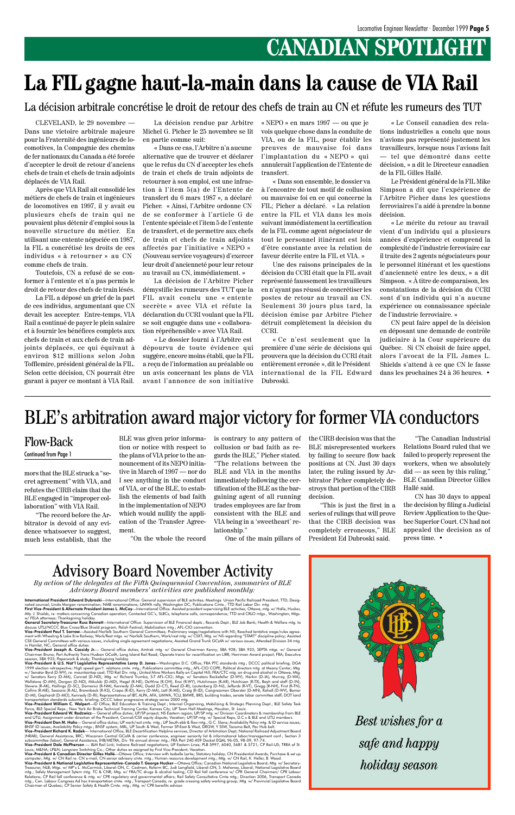### **CANADIAN SPOTLIGHT**

mors that the BLE struck a "secret agreement" with VIA, and refutes the CIRB claim that the BLE engaged in "improper collaboration" with VIA Rail.

"The record before the Arbitrator is devoid of any evidence whatsoever to suggest, much less establish, that the BLE was given prior information or notice with respect to the plans of VIA prior to the announcement of its NEPO initiative in March of 1997 — nor do I see anything in the conduct of VIA, or of the BLE, to establish the elements of bad faith in the implementation of NEPO which would nullify the application of the Transfer Agreement.

"On the whole the record

is contrary to any pattern of collusion or bad faith as regards the BLE," Picher stated. "The relations between the BLE and VIA in the months immediately following the certification of the BLE as the bargaining agent of all running trades employees are far from consistent with the BLE and VIA being in a 'sweetheart' relationship."

One of the main pillars of

the CIRB decision was that the BLE misrepresented workers by failing to secure flow back positions at CN. Just 30 days later, the ruling issued by Arbitrator Picher completely destroys that portion of the CIRB decision.

"This is just the first in a series of rulings that will prove that the CIRB decision was completely erroneous," BLE President Ed Dubroski said.

CLEVELAND, le 29 novembre — Dans une victoire arbitrale majeure pour la Fraternité des ingénieurs de locomotives, la Compagnie des chemins de fer nationaux du Canada a été forcée d'accepter le droit de retour d'anciens chefs de train et chefs de train adjoints déplacés de VIA Rail.

> La décision de l'Arbitre Picher démystifie les rumeurs des TUT que la FIL avait conclu une « entente secrète » avec VIA et réfute la déclaration du CCRI voulant que la FIL se soit engagée dans une « collaboration répréhensible » avec VIA Rail.

Après que VIA Rail ait consolidé les métiers de chefs de train et ingénieurs de locomotives en 1997, il y avait eu plusieurs chefs de train qui ne pouvaient plus détenir d'emploi sous la nouvelle structure du métier. En utilisant une entente négociée en 1987, la FIL a concrétisé les droits de ces individus «␣ à retourner␣ » au CN comme chefs de train.

«␣ Dans son ensemble, le dossier va à l'encontre de tout motif de collusion ou mauvaise foi en ce qui concerne la FIL: Picher a déclaré. « La relation entre la FIL et VIA dans les mois suivant immédiatement la certification de la FIL comme agent négociateur de tout le personnel itinérant est loin d'être constante avec la relation de faveur décrite entre la FIL et VIA. »

Toutefois, CN a refusé de se conformer à l'entente et n'a pas permis le droit de retour des chefs de train lésés.

La FIL a déposé un grief de la part de ces individus, argumentant que CN devait les accepter. Entre-temps, VIA Rail a continué de payer le plein salaire et à fournir les bénéfices complets aux chefs de train et aux chefs de train adjoints déplacés, ce qui équivaut à environ \$12 millions selon John Tofflemire, président général de la FIL. Selon cette décision, CN pourrait être garant à payer ce montant à VIA Rail.

La décision rendue par Arbitre Michel G. Picher le 25 novembre se lit en partie comme suit:

«␣ Dans ce cas, l'Arbitre n'a aucune alternative que de trouver et déclarer que le refus du CN d'accepter les chefs de train et chefs de train adjoints de retourner à son emploi, est une infraction à l'item 5(a) de l'Entente de transfert du 6 mars 1987 », a déclaré Picher. « Ainsi, l'Arbitre ordonne CN de se conformer à l'article G de l'entente spéciale et l'item 5 de l'entente de transfert, et de permettre aux chefs de train et chefs de train adjoints affectés par l'initiative «␣ NEPO␣ » (Nouveau service voyageurs) d'exercer leur droit d'ancienneté pour leur retour au travail au CN, immédiatement.␣ »

Atty. J. Shields, re: matters concerning Canadian operation; Contacted GC's, SLBCs, telephone calls, correspondence; TTD and CRLO mtgs., Washington; Mtgs. w/ FELA attorneys: Thanksaiving holiday

**General Secretary-Treasurer Russ Bennett**—International Office: Supervision of BLE Financial depts.; Records Dept.; BLE Job Bank; Health & Welfare mtg. to<br>discuss UTU/NCCC Blue Cross/Blue Shield program; Polish Festival;

«␣ Le dossier fourni à l'Arbitre est dépourvu de toute évidence qui suggère, encore moins établi, que la FIL a reçu de l'information au préalable ou un avis concernant les plans de VIA avant l'annonce de son initiative

«␣ NEPO␣ » en mars 1997 — ou que je vois quelque chose dans la conduite de VIA, ou de la FIL, pour établir les preuves de mauvaise foi dans l'implantation du « NEPO » qui annulerait l'application de l'Entente de transfert.

Vice-President Joseph A. Cassidy Jr. - General office duties; Amtrak mtg. w/ General Chairman Kenny; SBA 928; SBA 933; SEPTA mtgs. w/ General Chairman Bruno; Port Authority Trans Hudson GCofA; Long Island Rail Road; Operate trains for recertification on LIRR; Harriman Award project; FRA; Executive session, SBA 933; Paperwork & study; Thanksgiving holiday.

Vice-President & U.S. Narf I Legislative Representative Leroy D. Jones—Washington D.C. Offices: RAFC. Composition (1997) and the first work of the State Research (Barry Composition) (1997) and the state of the State Resear

Une des raisons principales de la décision du CCRI était que la FIL avait représenté faussement les travailleurs en n'ayant pas réussi de concrétiser les postes de retour au travail au CN. Seulement 30 jours plus tard, la décision émise par Arbitre Picher détruit complètement la décision du CCRI.

«␣ Ce n'est seulement que la première d'une série de décisions qui prouvera que la décision du CCRI était entièrement erronée␣ », dit le Président international de la FIL Edward Dubroski.

### **La FIL gagne haut-la-main dans la cause de VIA Rail**

La décision arbitrale concrétise le droit de retour des chefs de train au CN et réfute les rumeurs des TUT

«␣ Le Conseil canadien des relations industrielles a conclu que nous n'avions pas représenté justement les travailleurs, lorsque nous l'avions fait — tel que démontré dans cette décision,␣ » a dit le Directeur canadien de la FIL Gilles Hallé.

Le Président général de la FIL Mike Simpson a dit que l'expérience de l'Arbitre Picher dans les questions ferroviaires l'a aidé à prendre la bonne décision.

«␣ Le mérite du retour au travail vient d'un individu qui a plusieurs années d'expérience et comprend la complexité de l'industrie ferroviaire car il traite des 2 agents négociateurs pour le personnel itinérant et les questions d'ancienneté entre les deux,␣ » a dit Simpson. « $\hat{A}$  titre de comparaison, les constatations de la décision du CCRI sont d'un individu qui n'a aucune expérience ou connaissance spéciale de l'industrie ferroviaire.␣ »

CN peut faire appel de la décision en déposant une demande de contrôle judiciaire à la Cour supérieure du Québec. Si CN choisit de faire appel, alors l'avocat de la FIL James L. Shields s'attend à ce que CN le fasse dans les prochaines 24 à 36 heures. •

#### Flow-Back

Continued from Page 1

#### BLE's arbitration award major victory for former VIA conductors



*By action of the delegates at the Fifth Quinquennial Convention, summaries of BLE Advisory Board members' activities are published monthly:*



International President Edward Dubroski—International Office: General supervision of BLE activities: Meetings: Union Pacific Railroad President: TTD: Designated counsel; Linda Morgan renomination; NMB renominations; UMWA rally, Washington DC; Publications Cmte.; TTD Rail Labor Div. mtg.<br>**First Vice-President & Alternate President James L. McCoy**—International Office. Assiste

> *Best wishes for a safe and happy holiday season*

"The Canadian Industrial Relations Board ruled that we failed to properly represent the workers, when we absolutely  $did$  — as seen by this ruling," BLE Canadian Director Gilles Hallé said.

CN has 30 days to appeal the decision by filing a Judicial Review Application to the Quebec Superior Court. CN had not appealed the decision as of press time. •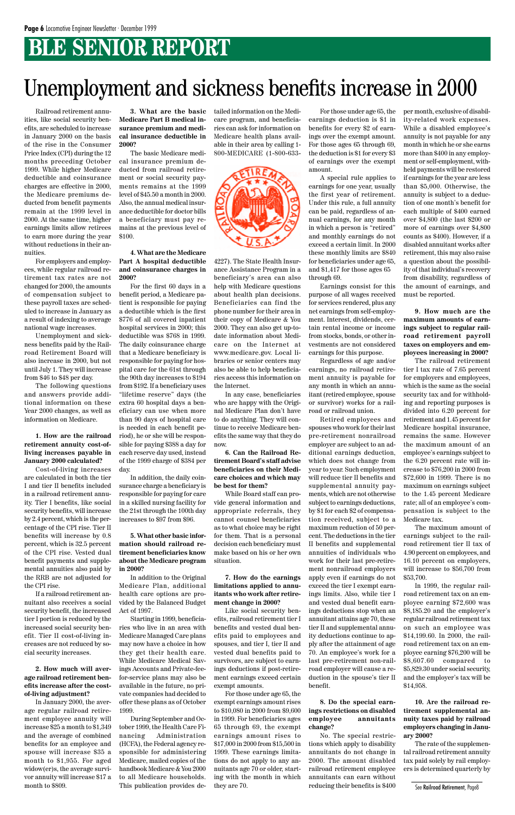### **BLE SENIOR REPORT**

Railroad retirement annuities, like social security benefits, are scheduled to increase in January 2000 on the basis of the rise in the Consumer Price Index (CPI) during the 12 months preceding October 1999. While higher Medicare deductible and coinsurance charges are effective in 2000, the Medicare premiums deducted from benefit payments remain at the 1999 level in 2000. At the same time, higher earnings limits allow retirees to earn more during the year without reductions in their annuities.

For employers and employees, while regular railroad retirement tax rates are not changed for 2000, the amounts of compensation subject to these payroll taxes are scheduled to increase in January as a result of indexing to average national wage increases.

Unemployment and sickness benefits paid by the Railroad Retirement Board will also increase in 2000, but not until July 1. They will increase from \$46 to \$48 per day.

The following questions and answers provide additional information on these Year 2000 changes, as well as information on Medicare.

**1. How are the railroad retirement annuity cost-ofliving increases payable in January 2000 calculated?**

Cost-of-living increases are calculated in both the tier I and tier II benefits included in a railroad retirement annuity. Tier I benefits, like social security benefits, will increase by 2.4 percent, which is the percentage of the CPI rise. Tier II benefits will increase by 0.8 percent, which is 32.5 percent of the CPI rise. Vested dual benefit payments and supplemental annuities also paid by the RRB are not adjusted for the CPI rise.

If a railroad retirement annuitant also receives a social security benefit, the increased tier I portion is reduced by the increased social security benefit. Tier II cost-of-living increases are not reduced by social security increases.

**2. How much will average railroad retirement benefits increase after the costof-living adjustment?**

In January 2000, the average regular railroad retirement employee annuity will increase \$25 a month to \$1,349 and the average of combined benefits for an employee and spouse will increase \$35 a month to \$1,955. For aged widow(er)s, the average survivor annuity will increase \$17 a month to \$809.

**3. What are the basic Medicare Part B medical insurance premium and medical insurance deductible in 2000?**

The basic Medicare medical insurance premium deducted from railroad retirement or social security payments remains at the 1999 level of \$45.50 a month in 2000. Also, the annual medical insurance deductible for doctor bills a beneficiary must pay remains at the previous level of \$100.

#### **4. What are the Medicare Part A hospital deductible and coinsurance charges in 2000?**

For the first 60 days in a benefit period, a Medicare patient is responsible for paying a deductible which is the first \$776 of all covered inpatient hospital services in 2000; this deductible was \$768 in 1999. The daily coinsurance charge that a Medicare beneficiary is responsible for paying for hospital care for the 61st through the 90th day increases to \$194 from \$192. If a beneficiary uses "lifetime reserve" days (the extra 60 hospital days a beneficiary can use when more than 90 days of hospital care is needed in each benefit period), he or she will be responsible for paying \$388 a day for each reserve day used, instead of the 1999 charge of \$384 per day.

In addition, the daily coinsurance charge a beneficiary is responsible for paying for care in a skilled nursing facility for the 21st through the 100th day increases to \$97 from \$96.

**5. What other basic information should railroad retirement beneficiaries know about the Medicare program in 2000?**

In addition to the Original Medicare Plan, additional health care options are pro-

vided by the Balanced Budget Act of 1997.

Starting in 1999, beneficiaries who live in an area with Medicare Managed Care plans may now have a choice in how they get their health care. While Medicare Medical Savings Accounts and Private-feefor-service plans may also be available in the future, no private companies had decided to offer these plans as of October 1999.

During September and October 1999, the Health Care Financing Administration (HCFA), the Federal agency responsible for administering Medicare, mailed copies of the handbook Medicare & You 2000 to all Medicare households. This publication provides detailed information on the Medicare program, and beneficiaries can ask for information on Medicare health plans available in their area by calling 1- 800-MEDICARE (1-800-633-



4227). The State Health Insurance Assistance Program in a beneficiary's area can also help with Medicare questions about health plan decisions. Beneficiaries can find the phone number for their area in their copy of Medicare & You 2000. They can also get up-todate information about Medicare on the Internet at www.medicare.gov. Local libraries or senior centers may also be able to help beneficiaries access this information on the Internet.

In any case, beneficiaries who are happy with the Original Medicare Plan don't have to do anything. They will continue to receive Medicare benefits the same way that they do now.

**6. Can the Railroad Retirement Board's staff advise beneficiaries on their Medicare choices and which may be best for them?**

While Board staff can provide general information and appropriate referrals, they cannot counsel beneficiaries as to what choice may be right for them. That is a personal decision each beneficiary must make based on his or her own situation.

**7. How do the earnings limitations applied to annuitants who work after retire-**

#### **ment change in 2000?**

Like social security benefits, railroad retirement tier I benefits and vested dual benefits paid to employees and spouses, and tier I, tier II and vested dual benefits paid to survivors, are subject to earnings deductions if post-retirement earnings exceed certain exempt amounts.

For those under age 65, the exempt earnings amount rises to \$10,080 in 2000 from \$9,600 in 1999. For beneficiaries ages 65 through 69, the exempt earnings amount rises to \$17,000 in 2000 from \$15,500 in 1999. These earnings limitations do not apply to any annuitants age 70 or older, starting with the month in which they are 70.

For those under age 65, the earnings deduction is \$1 in benefits for every \$2 of earnings over the exempt amount. For those ages 65 through 69, the deduction is \$1 for every \$3 of earnings over the exempt amount.

A special rule applies to earnings for one year, usually the first year of retirement. Under this rule, a full annuity can be paid, regardless of annual earnings, for any month in which a person is "retired" and monthly earnings do not exceed a certain limit. In 2000 these monthly limits are \$840 for beneficiaries under age 65, and \$1,417 for those ages 65 through 69.

Earnings consist for this purpose of all wages received for services rendered, plus any net earnings from self-employment. Interest, dividends, certain rental income or income from stocks, bonds, or other investments are not considered earnings for this purpose.

Regardless of age and/or earnings, no railroad retirement annuity is payable for any month in which an annuitant (retired employee, spouse or survivor) works for a railroad or railroad union.

Retired employees and spouses who work for their last pre-retirement nonrailroad employer are subject to an additional earnings deduction, which does not change from year to year. Such employment will reduce tier II benefits and supplemental annuity payments, which are not otherwise subject to earnings deductions, by \$1 for each \$2 of compensation received, subject to a maximum reduction of 50 percent. The deductions in the tier II benefits and supplemental annuities of individuals who work for their last pre-retirement nonrailroad employers apply even if earnings do not exceed the tier I exempt earnings limits. Also, while tier I and vested dual benefit earnings deductions stop when an annuitant attains age 70, these tier II and supplemental annuity deductions continue to apply after the attainment of age 70. An employee's work for a last pre-retirement non-railroad employer will cause a reduction in the spouse's tier II benefit.

#### **8. Do the special earnings restrictions on disabled employee annuitants change?**

No. The special restrictions which apply to disability annuitants do not change in 2000. The amount disabled railroad retirement employee annuitants can earn without reducing their benefits is \$400

per month, exclusive of disability-related work expenses. While a disabled employee's annuity is not payable for any month in which he or she earns more than \$400 in any employment or self-employment, withheld payments will be restored if earnings for the year are less than \$5,000. Otherwise, the annuity is subject to a deduction of one month's benefit for each multiple of \$400 earned over \$4,800 (the last \$200 or more of earnings over \$4,800 counts as \$400). However, if a disabled annuitant works after retirement, this may also raise a question about the possibility of that individual's recovery from disability, regardless of the amount of earnings, and must be reported.

**9. How much are the maximum amounts of earnings subject to regular railroad retirement payroll taxes on employers and employees increasing in 2000?**

The railroad retirement tier I tax rate of 7.65 percent for employers and employees, which is the same as the social security tax and for withholding and reporting purposes is divided into 6.20 percent for retirement and 1.45 percent for Medicare hospital insurance, remains the same. However the maximum amount of an employee's earnings subject to the 6.20 percent rate will increase to \$76,200 in 2000 from \$72,600 in 1999. There is no maximum on earnings subject to the 1.45 percent Medicare rate; all of an employee's compensation is subject to the Medicare tax.

The maximum amount of earnings subject to the railroad retirement tier II tax of 4.90 percent on employees, and 16.10 percent on employers, will increase to \$56,700 from \$53,700.

In 1999, the regular railroad retirement tax on an employee earning \$72,600 was \$8,185.20 and the employer's regular railroad retirement tax on such an employee was \$14,199.60. In 2000, the railroad retirement tax on an employee earning \$76,200 will be \$8,607.60 compared to \$5,829.30 under social security, and the employer's tax will be \$14,958.

**10. Are the railroad retirement supplemental annuity taxes paid by railroad employers changing in January 2000?**

The rate of the supplemental railroad retirement annuity tax paid solely by rail employers is determined quarterly by

### Unemployment and sickness benefits increase in 2000

See Railroad Retirement, Page8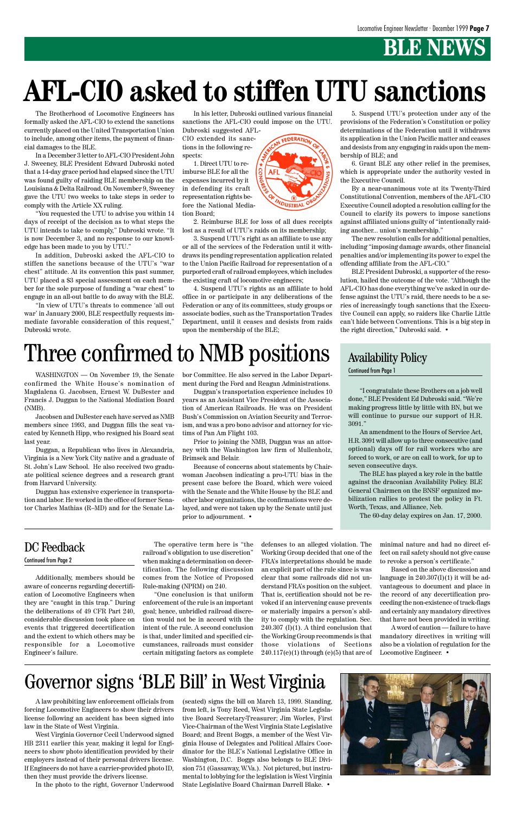### **BLE NEWS**

Additionally, members should be aware of concerns regarding decertification of Locomotive Engineers when they are "caught in this trap." During the deliberations of 49 CFR Part 240, considerable discussion took place on events that triggered decertification and the extent to which others may be responsible for a Locomotive Engineer's failure.

The operative term here is "the railroad's obligation to use discretion" when making a determination on decertification. The following discussion comes from the Notice of Proposed Rule-making (NPRM) on 240.

"One conclusion is that uniform

enforcement of the rule is an important goal; hence, unbridled railroad discretion would not be in accord with the intent of the rule. A second conclusion is that, under limited and specified circumstances, railroads must consider certain mitigating factors as complete

#### Continued from Page 2

### Governor signs 'BLE Bill' in West Virginia

defenses to an alleged violation. The Working Group decided that one of the FRA's interpretations should be made an explicit part of the rule since is was clear that some railroads did not understand FRA's position on the subject. That is, certification should not be revoked if an intervening cause prevents or materially impairs a person's ability to comply with the regulation. Sec.  $240.307$  (I)(1). A third conclusion that the Working Group recommends is that those violations of Sections  $240.117(e)(1)$  through (e)(5) that are of

A law prohibiting law enforcement officials from forcing Locomotive Engineers to show their drivers license following an accident has been signed into law in the State of West Virginia.

West Virginia Governor Cecil Underwood signed HB 2311 earlier this year, making it legal for Engineers to show photo identification provided by their employers instead of their personal drivers license. If Engineers do not have a carrier-provided photo ID, then they must provide the drivers license.

In the photo to the right, Governor Underwood

(seated) signs the bill on March 13, 1999. Standing, from left, is Tony Reed, West Virginia State Legislative Board Secretary-Treasurer; Jim Worles, First Vice-Chairman of the West Virginia State Legislative Board; and Brent Boggs, a member of the West Virginia House of Delegates and Political Affairs Coordinator for the BLE's National Legislative Office in Washington, D.C. Boggs also belongs to BLE Division 751 (Gassaway, W.Va.). Not pictured, but instrumental to lobbying for the legislation is West Virginia State Legislative Board Chairman Darrell Blake. •



minimal nature and had no direct effect on rail safety should not give cause to revoke a person's certificate."

Based on the above discussion and language in  $240.307(I)(1)$  it will be advantageous to document and place in the record of any decertification pro-

ceeding the non-existence of track-flags and certainly any mandatory directives that have not been provided in writing.

A word of caution — failure to have mandatory directives in writing will also be a violation of regulation for the Locomotive Engineer. •

### Three confirmed to NMB positions

The Brotherhood of Locomotive Engineers has formally asked the AFL-CIO to extend the sanctions currently placed on the United Transportation Union to include, among other items, the payment of financial damages to the BLE.

In a December 3 letter to AFL-CIO President John J. Sweeney, BLE President Edward Dubroski noted that a 14-day grace period had elapsed since the UTU was found guilty of raiding BLE membership on the Louisiana & Delta Railroad. On November 9, Sweeney gave the UTU two weeks to take steps in order to comply with the Article XX ruling.

"You requested the UTU to advise you within 14 days of receipt of the decision as to what steps the UTU intends to take to comply," Dubroski wrote. "It is now December 3, and no response to our knowledge has been made to you by UTU."

In addition, Dubroski asked the AFL-CIO to stiffen the sanctions because of the UTU's "war chest" attitude. At its convention this past summer, UTU placed a \$3 special assessment on each member for the sole purpose of funding a "war chest" to engage in an all-out battle to do away with the BLE.

WASHINGTON — On November 19, the Senate bor Committee. He also served in the Labor Depart- Continued from Page 1 ment during the Ford and Reagan Administrations.

"In view of UTU's threats to commence 'all out war' in January 2000, BLE respectfully requests immediate favorable consideration of this request," Dubroski wrote.

In his letter, Dubroski outlined various financial sanctions the AFL-CIO could impose on the UTU.

Dubroski suggested AFL-CIO extended its sanctions in the following respects:

1. Direct UTU to reimburse BLE for all the expenses incurred by it in defending its craft representation rights before the National Mediation Board;

2. Reimburse BLE for loss of all dues receipts lost as a result of UTU's raids on its membership;

3. Suspend UTU's right as an affiliate to use any or all of the services of the Federation until it withdraws its pending representation application related to the Union Pacific Railroad for representation of a purported craft of railroad employees, which includes the existing craft of locomotive engineers;

4. Suspend UTU's rights as an affiliate to hold office in or participate in any deliberations of the Federation or any of its committees, study groups or associate bodies, such as the Transportation Trades Department, until it ceases and desists from raids upon the membership of the BLE;



5. Suspend UTU's protection under any of the provisions of the Federation's Constitution or policy determinations of the Federation until it withdraws its application in the Union Pacific matter and ceases and desists from any engaging in raids upon the membership of BLE; and

6. Grant BLE any other relief in the premises, which is appropriate under the authority vested in the Executive Council.

By a near-unanimous vote at its Twenty-Third Constitutional Convention, members of the AFL-CIO Executive Council adopted a resolution calling for the Council to clarify its powers to impose sanctions against affiliated unions guilty of "intentionally raiding another... union's membership."

The new resolution calls for additional penalties, including "imposing damage awards, other financial penalties and/or implementing its power to expel the offending affiliate from the AFL-CIO."

BLE President Dubroski, a supporter of the resolution, hailed the outcome of the vote. "Although the AFL-CIO has done everything we've asked in our defense against the UTU's raid, there needs to be a series of increasingly tough sanctions that the Executive Council can apply, so raiders like Charlie Little can't hide between Conventions. This is a big step in the right direction," Dubroski said. •

## **AFL-CIO asked to stiffen UTU sanctions**

"I congratulate these Brothers on a job well done," BLE President Ed Dubroski said. "We're making progress little by little with BN, but we will continue to pursue our support of H.R. 3091."

An amendment to the Hours of Service Act, H.R. 3091 will allow up to three consecutive (and optional) days off for rail workers who are forced to work, or are on call to work, for up to seven consecutive days.

The BLE has played a key role in the battle against the draconian Availability Policy. BLE General Chairmen on the BNSF organized mobilization rallies to protest the policy in Ft. Worth, Texas, and Alliance, Neb.

The 60-day delay expires on Jan. 17, 2000.

#### DC Feedback

#### Availability Policy

confirmed the White House's nomination of Magdalena G. Jacobsen, Ernest W. DuBester and Francis J. Duggan to the National Mediation Board (NMB).

Jacobsen and DuBester each have served as NMB members since 1993, and Duggan fills the seat vacated by Kenneth Hipp, who resigned his Board seat last year.

Duggan, a Republican who lives in Alexandria, Virginia is a New York City native and a graduate of St. John's Law School. He also received two graduate political science degrees and a research grant from Harvard University.

Duggan has extensive experience in transportation and labor. He worked in the office of former Senator Charles Mathias (R–MD) and for the Senate La-

Duggan's transportation experience includes 10 years as an Assistant Vice President of the Association of American Railroads. He was on President Bush's Commission on Aviation Security and Terrorism, and was a pro bono advisor and attorney for victims of Pan Am Flight 103.

Prior to joining the NMB, Duggan was an attorney with the Washington law firm of Mullenholz, Brimsek and Belair.

Because of concerns about statements by Chairwoman Jacobsen indicating a pro-UTU bias in the present case before the Board, which were voiced with the Senate and the White House by the BLE and other labor organizations, the confirmations were delayed, and were not taken up by the Senate until just prior to adjournment. •